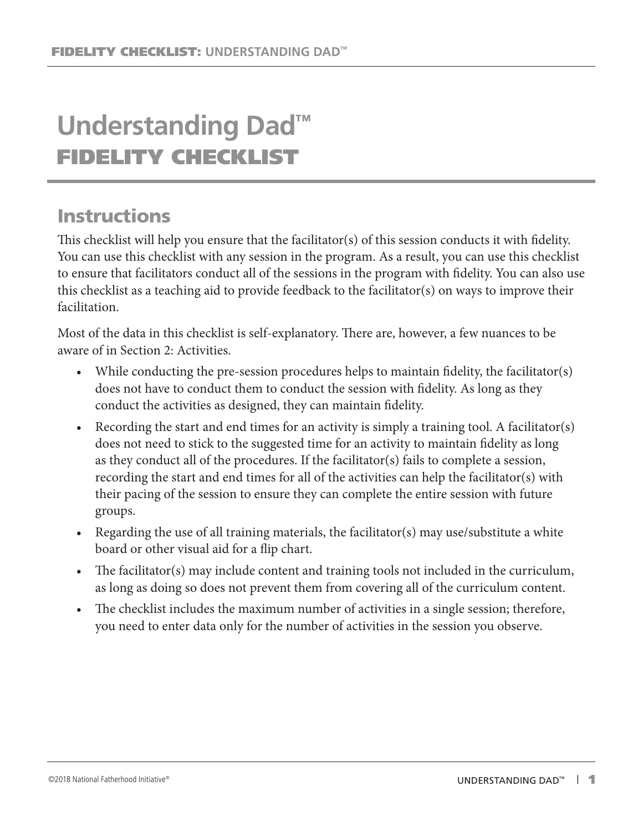# **Understanding Dad™** FIDELITY CHECKLIST

## **Instructions**

This checklist will help you ensure that the facilitator(s) of this session conducts it with fidelity. You can use this checklist with any session in the program. As a result, you can use this checklist to ensure that facilitators conduct all of the sessions in the program with fidelity. You can also use this checklist as a teaching aid to provide feedback to the facilitator(s) on ways to improve their facilitation.

Most of the data in this checklist is self-explanatory. There are, however, a few nuances to be aware of in Section 2: Activities.

- While conducting the pre-session procedures helps to maintain fidelity, the facilitator(s) does not have to conduct them to conduct the session with fidelity. As long as they conduct the activities as designed, they can maintain fidelity.
- Recording the start and end times for an activity is simply a training tool. A facilitator(s) does not need to stick to the suggested time for an activity to maintain fidelity as long as they conduct all of the procedures. If the facilitator(s) fails to complete a session, recording the start and end times for all of the activities can help the facilitator(s) with their pacing of the session to ensure they can complete the entire session with future groups.
- Regarding the use of all training materials, the facilitator(s) may use/substitute a white board or other visual aid for a flip chart.
- The facilitator(s) may include content and training tools not included in the curriculum, as long as doing so does not prevent them from covering all of the curriculum content.
- The checklist includes the maximum number of activities in a single session; therefore, you need to enter data only for the number of activities in the session you observe.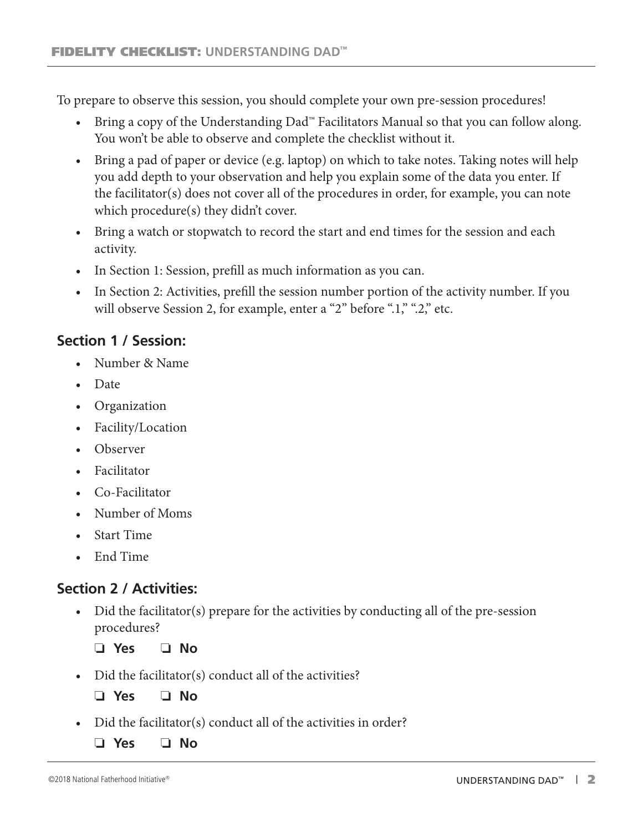To prepare to observe this session, you should complete your own pre-session procedures!

- Bring a copy of the Understanding Dad™ Facilitators Manual so that you can follow along. You won't be able to observe and complete the checklist without it.
- Bring a pad of paper or device (e.g. laptop) on which to take notes. Taking notes will help you add depth to your observation and help you explain some of the data you enter. If the facilitator(s) does not cover all of the procedures in order, for example, you can note which procedure(s) they didn't cover.
- Bring a watch or stopwatch to record the start and end times for the session and each activity.
- In Section 1: Session, prefill as much information as you can.
- In Section 2: Activities, prefill the session number portion of the activity number. If you will observe Session 2, for example, enter a "2" before ".1," ".2," etc.

### **Section 1 / Session:**

- Number & Name
- Date
- Organization
- Facility/Location
- Observer
- Facilitator
- Co-Facilitator
- Number of Moms
- Start Time
- End Time

## **Section 2 / Activities:**

• Did the facilitator(s) prepare for the activities by conducting all of the pre-session procedures?

❏ **Yes** ❏ **No**

• Did the facilitator(s) conduct all of the activities?

❏ **Yes** ❏ **No**

- Did the facilitator(s) conduct all of the activities in order?
	- ❏ **Yes** ❏ **No**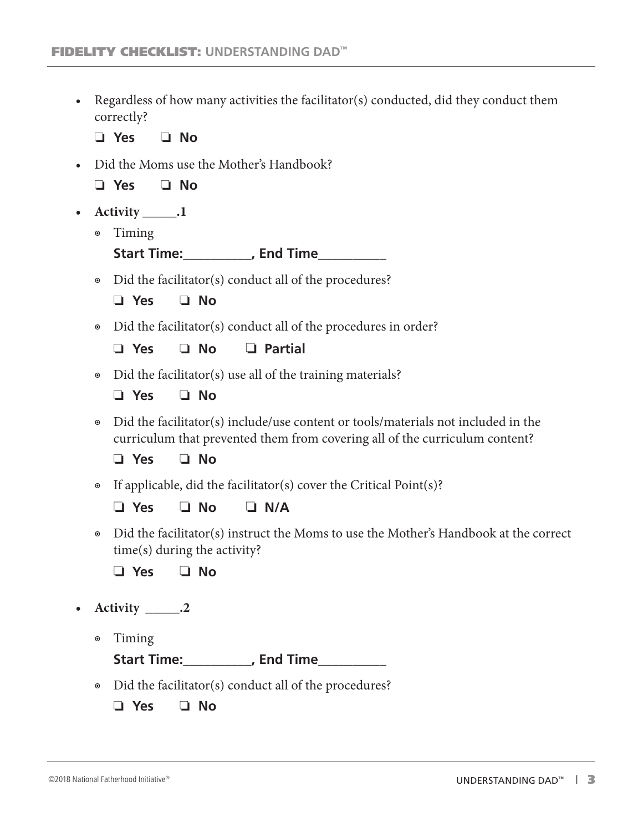• Regardless of how many activities the facilitator(s) conducted, did they conduct them correctly?

❏ **Yes** ❏ **No**

• Did the Moms use the Mother's Handbook?

❏ **Yes** ❏ **No**

- **• Activity \_\_\_\_\_.1**
	- ◉ Timing

**Start Time:\_\_\_\_\_\_\_\_\_\_, End Time\_\_\_\_\_\_\_\_\_\_**

◉ Did the facilitator(s) conduct all of the procedures?

| /es |  | No |
|-----|--|----|
|-----|--|----|

◉ Did the facilitator(s) conduct all of the procedures in order?

❏ **Yes** ❏ **No** ❏ **Partial**

- Did the facilitator(s) use all of the training materials?
	- ❏ **Yes** ❏ **No**
- ◉ Did the facilitator(s) include/use content or tools/materials not included in the curriculum that prevented them from covering all of the curriculum content?

❏ **Yes** ❏ **No**

◉ If applicable, did the facilitator(s) cover the Critical Point(s)?

#### ❏ **Yes** ❏ **No** ❏ **N/A**

◉ Did the facilitator(s) instruct the Moms to use the Mother's Handbook at the correct time(s) during the activity?

❏ **Yes** ❏ **No**

- **• Activity \_\_\_\_\_.2**
	- ◉ Timing

**Start Time:\_\_\_\_\_\_\_\_\_\_, End Time\_\_\_\_\_\_\_\_\_\_**

- ◉ Did the facilitator(s) conduct all of the procedures?
	- ❏ **Yes** ❏ **No**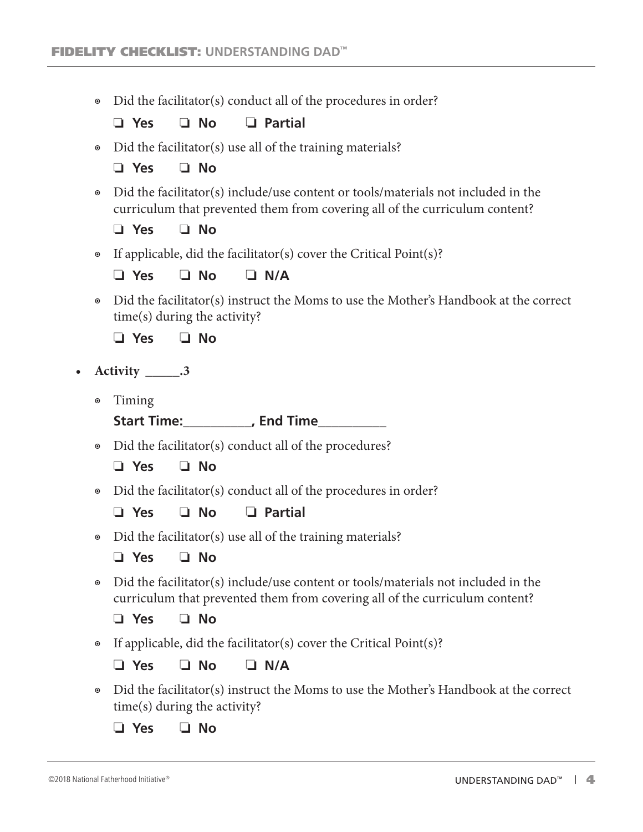◉ Did the facilitator(s) conduct all of the procedures in order?

❏ **Yes** ❏ **No** ❏ **Partial**

• Did the facilitator(s) use all of the training materials?

❏ **Yes** ❏ **No**

◉ Did the facilitator(s) include/use content or tools/materials not included in the curriculum that prevented them from covering all of the curriculum content?

❏ **Yes** ❏ **No**

◉ If applicable, did the facilitator(s) cover the Critical Point(s)?

❏ **Yes** ❏ **No** ❏ **N/A**

◉ Did the facilitator(s) instruct the Moms to use the Mother's Handbook at the correct time(s) during the activity?

❏ **Yes** ❏ **No**

- **• Activity \_\_\_\_\_.3**
	- ◉ Timing

**Start Time:\_\_\_\_\_\_\_\_\_\_, End Time\_\_\_\_\_\_\_\_\_\_**

◉ Did the facilitator(s) conduct all of the procedures?

❏ **Yes** ❏ **No**

• Did the facilitator(s) conduct all of the procedures in order?

❏ **Yes** ❏ **No** ❏ **Partial**

• Did the facilitator(s) use all of the training materials?

❏ **Yes** ❏ **No**

◉ Did the facilitator(s) include/use content or tools/materials not included in the curriculum that prevented them from covering all of the curriculum content?

❏ **Yes** ❏ **No**

◉ If applicable, did the facilitator(s) cover the Critical Point(s)?

❏ **Yes** ❏ **No** ❏ **N/A**

◉ Did the facilitator(s) instruct the Moms to use the Mother's Handbook at the correct time(s) during the activity?

❏ **Yes** ❏ **No**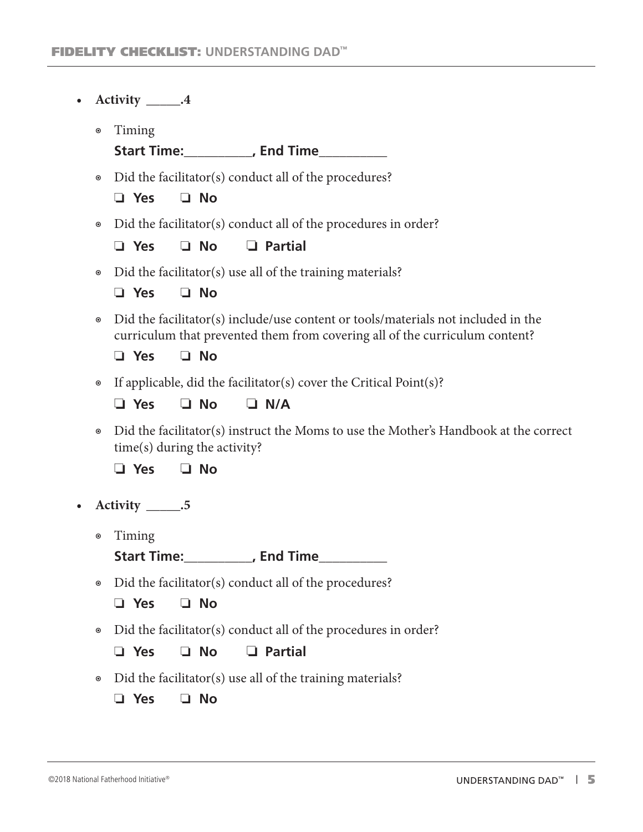| $\bullet$ |                      | Activity ______.4                                                                                                                                                                           |
|-----------|----------------------|---------------------------------------------------------------------------------------------------------------------------------------------------------------------------------------------|
|           | $\boldsymbol{\odot}$ | Timing<br>Start Time:___________, End Time___________                                                                                                                                       |
|           | $\boldsymbol{\circ}$ | Did the facilitator(s) conduct all of the procedures?<br>$\Box$ No<br>$\Box$ Yes                                                                                                            |
|           | $\boldsymbol{\odot}$ | Did the facilitator(s) conduct all of the procedures in order?<br>$\Box$ Partial<br>$\Box$ No<br>$\Box$ Yes                                                                                 |
|           | $\boldsymbol{\circ}$ | Did the facilitator(s) use all of the training materials?<br>$\Box$ No<br>$\Box$ Yes                                                                                                        |
|           | $\boldsymbol{\odot}$ | Did the facilitator(s) include/use content or tools/materials not included in the<br>curriculum that prevented them from covering all of the curriculum content?<br>$\Box$ No<br>$\Box$ Yes |
|           | $\boldsymbol{\circ}$ | If applicable, did the facilitator(s) cover the Critical Point $(s)$ ?<br>$\Box$ No<br>$\Box$ N/A<br>$\Box$ Yes                                                                             |
|           | $\boldsymbol{\odot}$ | Did the facilitator(s) instruct the Moms to use the Mother's Handbook at the correct<br>time(s) during the activity?                                                                        |
|           |                      | $\Box$ No<br>$\Box$ Yes                                                                                                                                                                     |
| $\bullet$ |                      | Activity _______.5                                                                                                                                                                          |
|           | $\boldsymbol{\odot}$ | Timing<br>Start Time:____________, End Time_______                                                                                                                                          |
|           | $\circledcirc$       | Did the facilitator(s) conduct all of the procedures?<br>$\square$ No<br>$\Box$ Yes                                                                                                         |
|           | $\circledcirc$       | Did the facilitator(s) conduct all of the procedures in order?                                                                                                                              |
|           |                      | <b>Partial</b><br><b>No</b><br>Yes<br>ப                                                                                                                                                     |
|           | $\odot$              | Did the facilitator(s) use all of the training materials?<br><b>No</b><br>$\Box$ Yes<br>u.                                                                                                  |